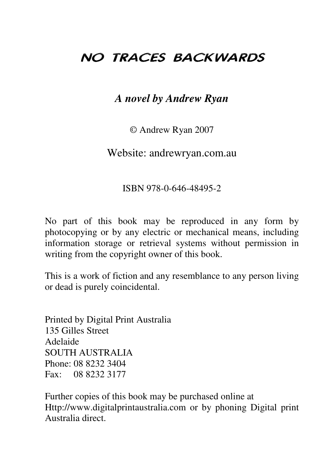# NO TRACES BACKWARDS

#### *A novel by Andrew Ryan*

© Andrew Ryan 2007

Website: andrewryan.com.au

#### ISBN 978-0-646-48495-2

No part of this book may be reproduced in any form by photocopying or by any electric or mechanical means, including information storage or retrieval systems without permission in writing from the copyright owner of this book.

This is a work of fiction and any resemblance to any person living or dead is purely coincidental.

Printed by Digital Print Australia 135 Gilles Street Adelaide SOUTH AUSTRALIA Phone: 08 8232 3404 Fax: 08 8232 3177

Further copies of this book may be purchased online at Http://www.digitalprintaustralia.com or by phoning Digital print Australia direct.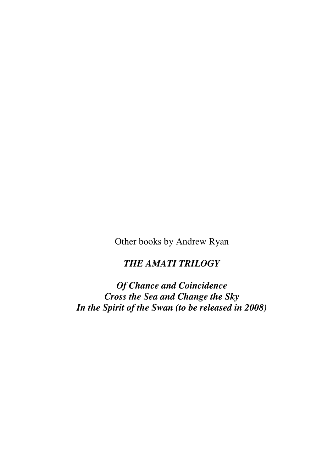Other books by Andrew Ryan

*THE AMATI TRILOGY*

*Of Chance and Coincidence Cross the Sea and Change the Sky In the Spirit of the Swan (to be released in 2008)*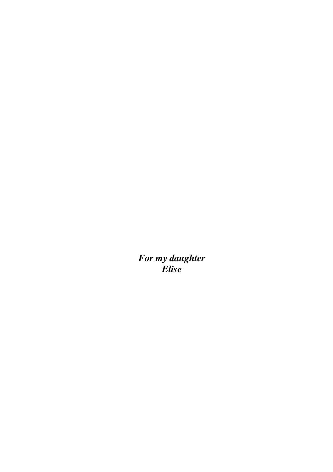*For my daughter Elise*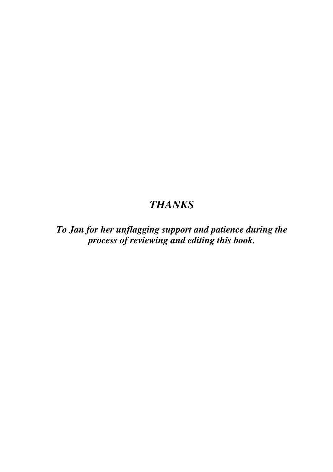### *THANKS*

*To Jan for her unflagging support and patience during the process of reviewing and editing this book.*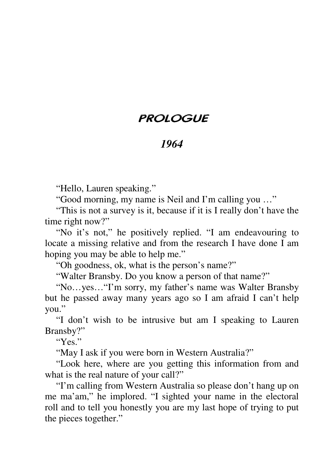# PROLOGUE

# *1964*

"Hello, Lauren speaking."

"Good morning, my name is Neil and I'm calling you …"

"This is not a survey is it, because if it is I really don't have the time right now?"

"No it's not," he positively replied. "I am endeavouring to locate a missing relative and from the research I have done I am hoping you may be able to help me."

"Oh goodness, ok, what is the person's name?"

"Walter Bransby. Do you know a person of that name?"

"No…yes…"I'm sorry, my father's name was Walter Bransby but he passed away many years ago so I am afraid I can't help you."

"I don't wish to be intrusive but am I speaking to Lauren Bransby?"

" $Y_{ex}$ "

"May I ask if you were born in Western Australia?"

"Look here, where are you getting this information from and what is the real nature of your call?"

"I'm calling from Western Australia so please don't hang up on me ma'am," he implored. "I sighted your name in the electoral roll and to tell you honestly you are my last hope of trying to put the pieces together."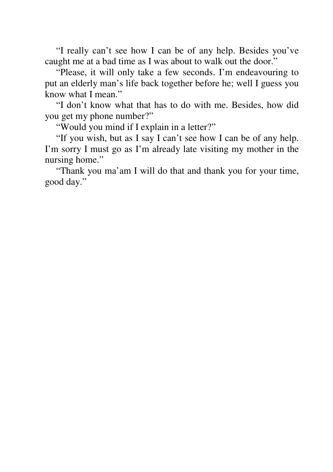"I really can't see how I can be of any help. Besides you've caught me at a bad time as I was about to walk out the door."

"Please, it will only take a few seconds. I'm endeavouring to put an elderly man's life back together before he; well I guess you know what I mean."

"I don't know what that has to do with me. Besides, how did you get my phone number?"

"Would you mind if I explain in a letter?"

"If you wish, but as I say I can't see how I can be of any help. I'm sorry I must go as I'm already late visiting my mother in the nursing home."

"Thank you ma'am I will do that and thank you for your time, good day."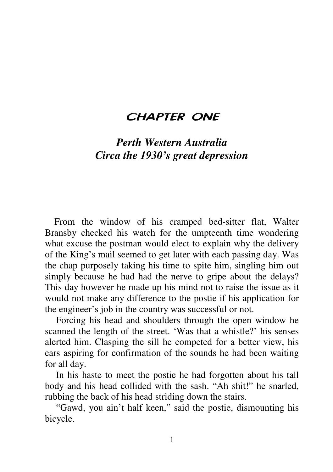#### CHAPTER ONE

## *Perth Western Australia Circa the 1930's great depression*

From the window of his cramped bed-sitter flat, Walter Bransby checked his watch for the umpteenth time wondering what excuse the postman would elect to explain why the delivery of the King's mail seemed to get later with each passing day. Was the chap purposely taking his time to spite him, singling him out simply because he had had the nerve to gripe about the delays? This day however he made up his mind not to raise the issue as it would not make any difference to the postie if his application for the engineer's job in the country was successful or not.

Forcing his head and shoulders through the open window he scanned the length of the street. 'Was that a whistle?' his senses alerted him. Clasping the sill he competed for a better view, his ears aspiring for confirmation of the sounds he had been waiting for all day.

In his haste to meet the postie he had forgotten about his tall body and his head collided with the sash. "Ah shit!" he snarled, rubbing the back of his head striding down the stairs.

"Gawd, you ain't half keen," said the postie, dismounting his bicycle.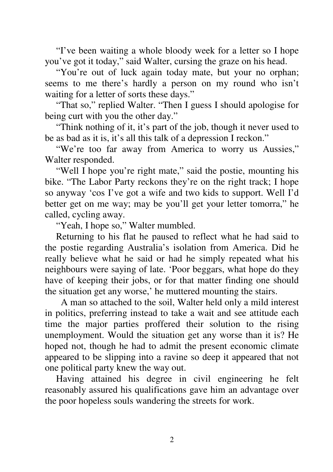"I've been waiting a whole bloody week for a letter so I hope you've got it today," said Walter, cursing the graze on his head.

"You're out of luck again today mate, but your no orphan; seems to me there's hardly a person on my round who isn't waiting for a letter of sorts these days."

"That so," replied Walter. "Then I guess I should apologise for being curt with you the other day."

"Think nothing of it, it's part of the job, though it never used to be as bad as it is, it's all this talk of a depression I reckon."

"We're too far away from America to worry us Aussies," Walter responded.

"Well I hope you're right mate," said the postie, mounting his bike. "The Labor Party reckons they're on the right track; I hope so anyway 'cos I've got a wife and two kids to support. Well I'd better get on me way; may be you'll get your letter tomorra," he called, cycling away.

"Yeah, I hope so," Walter mumbled.

Returning to his flat he paused to reflect what he had said to the postie regarding Australia's isolation from America. Did he really believe what he said or had he simply repeated what his neighbours were saying of late. 'Poor beggars, what hope do they have of keeping their jobs, or for that matter finding one should the situation get any worse,' he muttered mounting the stairs.

A man so attached to the soil, Walter held only a mild interest in politics, preferring instead to take a wait and see attitude each time the major parties proffered their solution to the rising unemployment. Would the situation get any worse than it is? He hoped not, though he had to admit the present economic climate appeared to be slipping into a ravine so deep it appeared that not one political party knew the way out.

Having attained his degree in civil engineering he felt reasonably assured his qualifications gave him an advantage over the poor hopeless souls wandering the streets for work.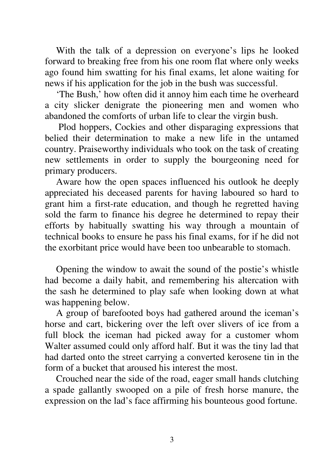With the talk of a depression on everyone's lips he looked forward to breaking free from his one room flat where only weeks ago found him swatting for his final exams, let alone waiting for news if his application for the job in the bush was successful.

'The Bush,' how often did it annoy him each time he overheard a city slicker denigrate the pioneering men and women who abandoned the comforts of urban life to clear the virgin bush.

Plod hoppers, Cockies and other disparaging expressions that belied their determination to make a new life in the untamed country. Praiseworthy individuals who took on the task of creating new settlements in order to supply the bourgeoning need for primary producers.

Aware how the open spaces influenced his outlook he deeply appreciated his deceased parents for having laboured so hard to grant him a first-rate education, and though he regretted having sold the farm to finance his degree he determined to repay their efforts by habitually swatting his way through a mountain of technical books to ensure he pass his final exams, for if he did not the exorbitant price would have been too unbearable to stomach.

Opening the window to await the sound of the postie's whistle had become a daily habit, and remembering his altercation with the sash he determined to play safe when looking down at what was happening below.

A group of barefooted boys had gathered around the iceman's horse and cart, bickering over the left over slivers of ice from a full block the iceman had picked away for a customer whom Walter assumed could only afford half. But it was the tiny lad that had darted onto the street carrying a converted kerosene tin in the form of a bucket that aroused his interest the most.

Crouched near the side of the road, eager small hands clutching a spade gallantly swooped on a pile of fresh horse manure, the expression on the lad's face affirming his bounteous good fortune.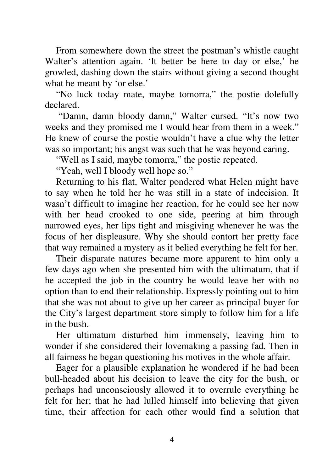From somewhere down the street the postman's whistle caught Walter's attention again. 'It better be here to day or else,' he growled, dashing down the stairs without giving a second thought what he meant by 'or else.'

"No luck today mate, maybe tomorra," the postie dolefully declared.

"Damn, damn bloody damn," Walter cursed. "It's now two weeks and they promised me I would hear from them in a week." He knew of course the postie wouldn't have a clue why the letter was so important; his angst was such that he was beyond caring.

"Well as I said, maybe tomorra," the postie repeated.

"Yeah, well I bloody well hope so."

Returning to his flat, Walter pondered what Helen might have to say when he told her he was still in a state of indecision. It wasn't difficult to imagine her reaction, for he could see her now with her head crooked to one side, peering at him through narrowed eyes, her lips tight and misgiving whenever he was the focus of her displeasure. Why she should contort her pretty face that way remained a mystery as it belied everything he felt for her.

Their disparate natures became more apparent to him only a few days ago when she presented him with the ultimatum, that if he accepted the job in the country he would leave her with no option than to end their relationship. Expressly pointing out to him that she was not about to give up her career as principal buyer for the City's largest department store simply to follow him for a life in the bush.

Her ultimatum disturbed him immensely, leaving him to wonder if she considered their lovemaking a passing fad. Then in all fairness he began questioning his motives in the whole affair.

Eager for a plausible explanation he wondered if he had been bull-headed about his decision to leave the city for the bush, or perhaps had unconsciously allowed it to overrule everything he felt for her; that he had lulled himself into believing that given time, their affection for each other would find a solution that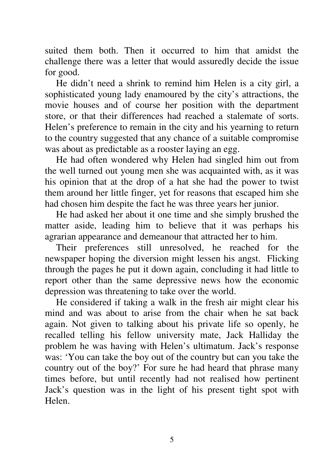suited them both. Then it occurred to him that amidst the challenge there was a letter that would assuredly decide the issue for good.

He didn't need a shrink to remind him Helen is a city girl, a sophisticated young lady enamoured by the city's attractions, the movie houses and of course her position with the department store, or that their differences had reached a stalemate of sorts. Helen's preference to remain in the city and his yearning to return to the country suggested that any chance of a suitable compromise was about as predictable as a rooster laying an egg.

He had often wondered why Helen had singled him out from the well turned out young men she was acquainted with, as it was his opinion that at the drop of a hat she had the power to twist them around her little finger, yet for reasons that escaped him she had chosen him despite the fact he was three years her junior.

He had asked her about it one time and she simply brushed the matter aside, leading him to believe that it was perhaps his agrarian appearance and demeanour that attracted her to him.

Their preferences still unresolved, he reached for the newspaper hoping the diversion might lessen his angst. Flicking through the pages he put it down again, concluding it had little to report other than the same depressive news how the economic depression was threatening to take over the world.

He considered if taking a walk in the fresh air might clear his mind and was about to arise from the chair when he sat back again. Not given to talking about his private life so openly, he recalled telling his fellow university mate, Jack Halliday the problem he was having with Helen's ultimatum. Jack's response was: 'You can take the boy out of the country but can you take the country out of the boy?' For sure he had heard that phrase many times before, but until recently had not realised how pertinent Jack's question was in the light of his present tight spot with Helen.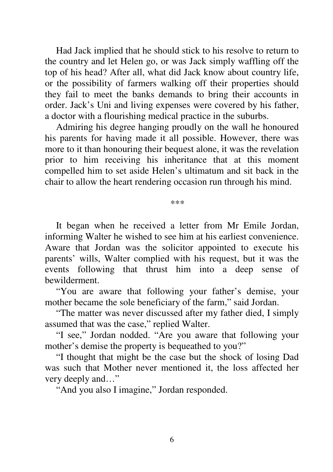Had Jack implied that he should stick to his resolve to return to the country and let Helen go, or was Jack simply waffling off the top of his head? After all, what did Jack know about country life, or the possibility of farmers walking off their properties should they fail to meet the banks demands to bring their accounts in order. Jack's Uni and living expenses were covered by his father, a doctor with a flourishing medical practice in the suburbs.

Admiring his degree hanging proudly on the wall he honoured his parents for having made it all possible. However, there was more to it than honouring their bequest alone, it was the revelation prior to him receiving his inheritance that at this moment compelled him to set aside Helen's ultimatum and sit back in the chair to allow the heart rendering occasion run through his mind.

\*\*\*

It began when he received a letter from Mr Emile Jordan, informing Walter he wished to see him at his earliest convenience. Aware that Jordan was the solicitor appointed to execute his parents' wills, Walter complied with his request, but it was the events following that thrust him into a deep sense of bewilderment.

"You are aware that following your father's demise, your mother became the sole beneficiary of the farm," said Jordan.

"The matter was never discussed after my father died, I simply assumed that was the case," replied Walter.

"I see," Jordan nodded. "Are you aware that following your mother's demise the property is bequeathed to you?"

"I thought that might be the case but the shock of losing Dad was such that Mother never mentioned it, the loss affected her very deeply and…"

"And you also I imagine," Jordan responded.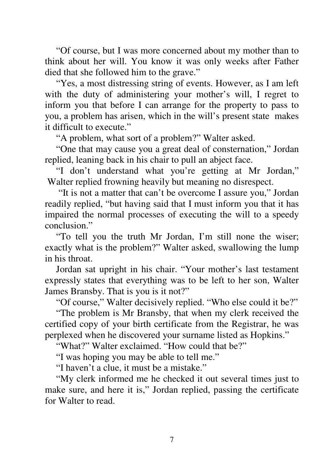"Of course, but I was more concerned about my mother than to think about her will. You know it was only weeks after Father died that she followed him to the grave."

"Yes, a most distressing string of events. However, as I am left with the duty of administering your mother's will, I regret to inform you that before I can arrange for the property to pass to you, a problem has arisen, which in the will's present state makes it difficult to execute."

"A problem, what sort of a problem?" Walter asked.

"One that may cause you a great deal of consternation," Jordan replied, leaning back in his chair to pull an abject face.

"I don't understand what you're getting at Mr Jordan," Walter replied frowning heavily but meaning no disrespect.

"It is not a matter that can't be overcome I assure you," Jordan readily replied, "but having said that I must inform you that it has impaired the normal processes of executing the will to a speedy conclusion."

"To tell you the truth Mr Jordan, I'm still none the wiser; exactly what is the problem?" Walter asked, swallowing the lump in his throat.

Jordan sat upright in his chair. "Your mother's last testament expressly states that everything was to be left to her son, Walter James Bransby. That is you is it not?"

"Of course," Walter decisively replied. "Who else could it be?"

"The problem is Mr Bransby, that when my clerk received the certified copy of your birth certificate from the Registrar, he was perplexed when he discovered your surname listed as Hopkins."

"What?" Walter exclaimed. "How could that be?"

"I was hoping you may be able to tell me."

"I haven't a clue, it must be a mistake."

"My clerk informed me he checked it out several times just to make sure, and here it is," Jordan replied, passing the certificate for Walter to read.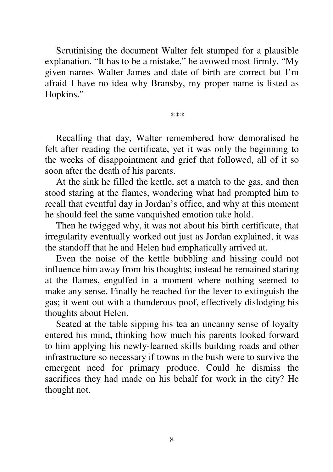Scrutinising the document Walter felt stumped for a plausible explanation. "It has to be a mistake," he avowed most firmly. "My given names Walter James and date of birth are correct but I'm afraid I have no idea why Bransby, my proper name is listed as Hopkins."

\*\*\*

Recalling that day, Walter remembered how demoralised he felt after reading the certificate, yet it was only the beginning to the weeks of disappointment and grief that followed, all of it so soon after the death of his parents.

At the sink he filled the kettle, set a match to the gas, and then stood staring at the flames, wondering what had prompted him to recall that eventful day in Jordan's office, and why at this moment he should feel the same vanquished emotion take hold.

Then he twigged why, it was not about his birth certificate, that irregularity eventually worked out just as Jordan explained, it was the standoff that he and Helen had emphatically arrived at.

Even the noise of the kettle bubbling and hissing could not influence him away from his thoughts; instead he remained staring at the flames, engulfed in a moment where nothing seemed to make any sense. Finally he reached for the lever to extinguish the gas; it went out with a thunderous poof, effectively dislodging his thoughts about Helen.

Seated at the table sipping his tea an uncanny sense of loyalty entered his mind, thinking how much his parents looked forward to him applying his newly-learned skills building roads and other infrastructure so necessary if towns in the bush were to survive the emergent need for primary produce. Could he dismiss the sacrifices they had made on his behalf for work in the city? He thought not.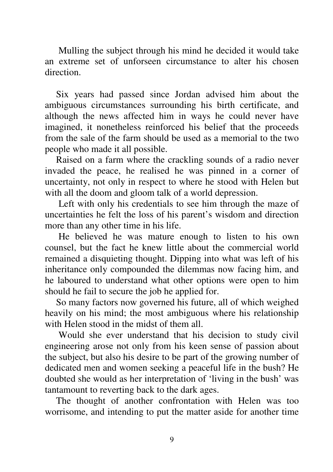Mulling the subject through his mind he decided it would take an extreme set of unforseen circumstance to alter his chosen direction.

Six years had passed since Jordan advised him about the ambiguous circumstances surrounding his birth certificate, and although the news affected him in ways he could never have imagined, it nonetheless reinforced his belief that the proceeds from the sale of the farm should be used as a memorial to the two people who made it all possible.

Raised on a farm where the crackling sounds of a radio never invaded the peace, he realised he was pinned in a corner of uncertainty, not only in respect to where he stood with Helen but with all the doom and gloom talk of a world depression.

Left with only his credentials to see him through the maze of uncertainties he felt the loss of his parent's wisdom and direction more than any other time in his life.

He believed he was mature enough to listen to his own counsel, but the fact he knew little about the commercial world remained a disquieting thought. Dipping into what was left of his inheritance only compounded the dilemmas now facing him, and he laboured to understand what other options were open to him should he fail to secure the job he applied for.

So many factors now governed his future, all of which weighed heavily on his mind; the most ambiguous where his relationship with Helen stood in the midst of them all.

Would she ever understand that his decision to study civil engineering arose not only from his keen sense of passion about the subject, but also his desire to be part of the growing number of dedicated men and women seeking a peaceful life in the bush? He doubted she would as her interpretation of 'living in the bush' was tantamount to reverting back to the dark ages.

The thought of another confrontation with Helen was too worrisome, and intending to put the matter aside for another time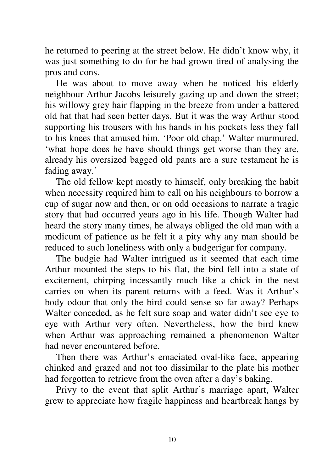he returned to peering at the street below. He didn't know why, it was just something to do for he had grown tired of analysing the pros and cons.

He was about to move away when he noticed his elderly neighbour Arthur Jacobs leisurely gazing up and down the street; his willowy grey hair flapping in the breeze from under a battered old hat that had seen better days. But it was the way Arthur stood supporting his trousers with his hands in his pockets less they fall to his knees that amused him. 'Poor old chap.' Walter murmured, 'what hope does he have should things get worse than they are, already his oversized bagged old pants are a sure testament he is fading away.'

The old fellow kept mostly to himself, only breaking the habit when necessity required him to call on his neighbours to borrow a cup of sugar now and then, or on odd occasions to narrate a tragic story that had occurred years ago in his life. Though Walter had heard the story many times, he always obliged the old man with a modicum of patience as he felt it a pity why any man should be reduced to such loneliness with only a budgerigar for company.

The budgie had Walter intrigued as it seemed that each time Arthur mounted the steps to his flat, the bird fell into a state of excitement, chirping incessantly much like a chick in the nest carries on when its parent returns with a feed. Was it Arthur's body odour that only the bird could sense so far away? Perhaps Walter conceded, as he felt sure soap and water didn't see eye to eye with Arthur very often. Nevertheless, how the bird knew when Arthur was approaching remained a phenomenon Walter had never encountered before.

Then there was Arthur's emaciated oval-like face, appearing chinked and grazed and not too dissimilar to the plate his mother had forgotten to retrieve from the oven after a day's baking.

Privy to the event that split Arthur's marriage apart, Walter grew to appreciate how fragile happiness and heartbreak hangs by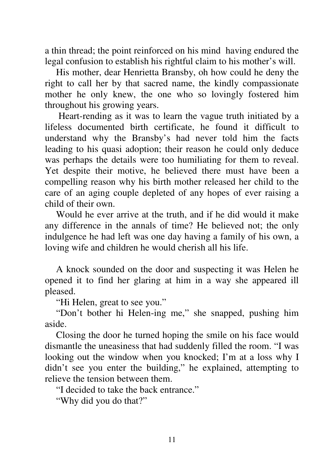a thin thread; the point reinforced on his mind having endured the legal confusion to establish his rightful claim to his mother's will.

His mother, dear Henrietta Bransby, oh how could he deny the right to call her by that sacred name, the kindly compassionate mother he only knew, the one who so lovingly fostered him throughout his growing years.

Heart-rending as it was to learn the vague truth initiated by a lifeless documented birth certificate, he found it difficult to understand why the Bransby's had never told him the facts leading to his quasi adoption; their reason he could only deduce was perhaps the details were too humiliating for them to reveal. Yet despite their motive, he believed there must have been a compelling reason why his birth mother released her child to the care of an aging couple depleted of any hopes of ever raising a child of their own.

Would he ever arrive at the truth, and if he did would it make any difference in the annals of time? He believed not; the only indulgence he had left was one day having a family of his own, a loving wife and children he would cherish all his life.

A knock sounded on the door and suspecting it was Helen he opened it to find her glaring at him in a way she appeared ill pleased.

"Hi Helen, great to see you."

"Don't bother hi Helen-ing me," she snapped, pushing him aside.

Closing the door he turned hoping the smile on his face would dismantle the uneasiness that had suddenly filled the room. "I was looking out the window when you knocked; I'm at a loss why I didn't see you enter the building," he explained, attempting to relieve the tension between them.

"I decided to take the back entrance."

"Why did you do that?"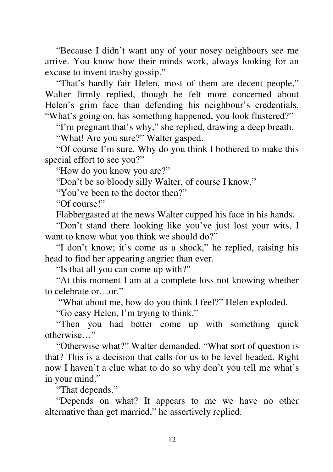"Because I didn't want any of your nosey neighbours see me arrive. You know how their minds work, always looking for an excuse to invent trashy gossip."

"That's hardly fair Helen, most of them are decent people," Walter firmly replied, though he felt more concerned about Helen's grim face than defending his neighbour's credentials. "What's going on, has something happened, you look flustered?"

"I'm pregnant that's why," she replied, drawing a deep breath.

"What! Are you sure?" Walter gasped.

"Of course I'm sure. Why do you think I bothered to make this special effort to see you?"

"How do you know you are?"

"Don't be so bloody silly Walter, of course I know."

"You've been to the doctor then?"

"Of course!"

Flabbergasted at the news Walter cupped his face in his hands.

"Don't stand there looking like you've just lost your wits, I want to know what you think we should do?"

"I don't know; it's come as a shock," he replied, raising his head to find her appearing angrier than ever.

"Is that all you can come up with?"

"At this moment I am at a complete loss not knowing whether to celebrate or…or."

"What about me, how do you think I feel?" Helen exploded.

"Go easy Helen, I'm trying to think."

"Then you had better come up with something quick otherwise…"

"Otherwise what?" Walter demanded. "What sort of question is that? This is a decision that calls for us to be level headed. Right now I haven't a clue what to do so why don't you tell me what's in your mind."

"That depends."

"Depends on what? It appears to me we have no other alternative than get married," he assertively replied.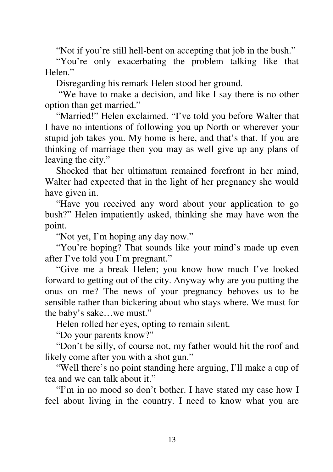"Not if you're still hell-bent on accepting that job in the bush."

"You're only exacerbating the problem talking like that Helen."

Disregarding his remark Helen stood her ground.

"We have to make a decision, and like I say there is no other option than get married."

"Married!" Helen exclaimed. "I've told you before Walter that I have no intentions of following you up North or wherever your stupid job takes you. My home is here, and that's that. If you are thinking of marriage then you may as well give up any plans of leaving the city."

Shocked that her ultimatum remained forefront in her mind, Walter had expected that in the light of her pregnancy she would have given in.

"Have you received any word about your application to go bush?" Helen impatiently asked, thinking she may have won the point.

"Not yet, I'm hoping any day now."

"You're hoping? That sounds like your mind's made up even after I've told you I'm pregnant."

"Give me a break Helen; you know how much I've looked forward to getting out of the city. Anyway why are you putting the onus on me? The news of your pregnancy behoves us to be sensible rather than bickering about who stays where. We must for the baby's sake…we must."

Helen rolled her eyes, opting to remain silent.

"Do your parents know?"

"Don't be silly, of course not, my father would hit the roof and likely come after you with a shot gun."

"Well there's no point standing here arguing, I'll make a cup of tea and we can talk about it."

"I'm in no mood so don't bother. I have stated my case how I feel about living in the country. I need to know what you are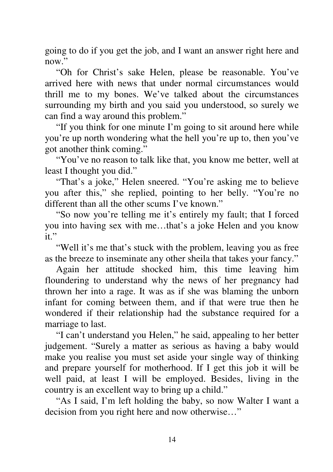going to do if you get the job, and I want an answer right here and now"

"Oh for Christ's sake Helen, please be reasonable. You've arrived here with news that under normal circumstances would thrill me to my bones. We've talked about the circumstances surrounding my birth and you said you understood, so surely we can find a way around this problem."

"If you think for one minute I'm going to sit around here while you're up north wondering what the hell you're up to, then you've got another think coming."

"You've no reason to talk like that, you know me better, well at least I thought you did."

"That's a joke," Helen sneered. "You're asking me to believe you after this," she replied, pointing to her belly. "You're no different than all the other scums I've known."

"So now you're telling me it's entirely my fault; that I forced you into having sex with me…that's a joke Helen and you know it."

"Well it's me that's stuck with the problem, leaving you as free as the breeze to inseminate any other sheila that takes your fancy."

Again her attitude shocked him, this time leaving him floundering to understand why the news of her pregnancy had thrown her into a rage. It was as if she was blaming the unborn infant for coming between them, and if that were true then he wondered if their relationship had the substance required for a marriage to last.

"I can't understand you Helen," he said, appealing to her better judgement. "Surely a matter as serious as having a baby would make you realise you must set aside your single way of thinking and prepare yourself for motherhood. If I get this job it will be well paid, at least I will be employed. Besides, living in the country is an excellent way to bring up a child."

"As I said, I'm left holding the baby, so now Walter I want a decision from you right here and now otherwise…"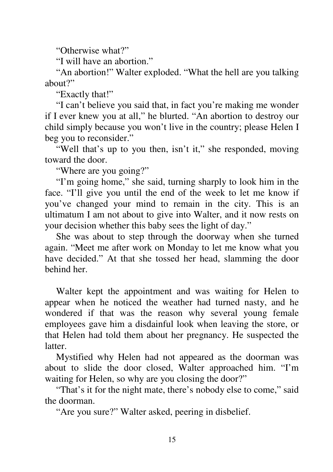"Otherwise what?"

"I will have an abortion"

"An abortion!" Walter exploded. "What the hell are you talking about?"

"Exactly that!"

"I can't believe you said that, in fact you're making me wonder if I ever knew you at all," he blurted. "An abortion to destroy our child simply because you won't live in the country; please Helen I beg you to reconsider."

"Well that's up to you then, isn't it," she responded, moving toward the door.

"Where are you going?"

"I'm going home," she said, turning sharply to look him in the face. "I'll give you until the end of the week to let me know if you've changed your mind to remain in the city. This is an ultimatum I am not about to give into Walter, and it now rests on your decision whether this baby sees the light of day."

She was about to step through the doorway when she turned again. "Meet me after work on Monday to let me know what you have decided." At that she tossed her head, slamming the door behind her.

Walter kept the appointment and was waiting for Helen to appear when he noticed the weather had turned nasty, and he wondered if that was the reason why several young female employees gave him a disdainful look when leaving the store, or that Helen had told them about her pregnancy. He suspected the latter.

Mystified why Helen had not appeared as the doorman was about to slide the door closed, Walter approached him. "I'm waiting for Helen, so why are you closing the door?"

"That's it for the night mate, there's nobody else to come," said the doorman.

"Are you sure?" Walter asked, peering in disbelief.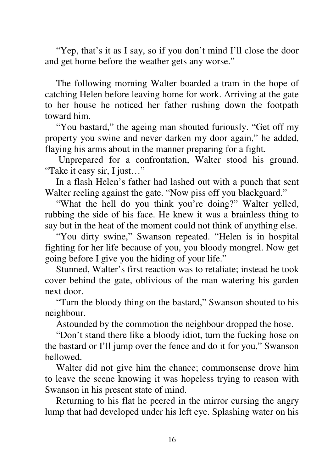"Yep, that's it as I say, so if you don't mind I'll close the door and get home before the weather gets any worse."

The following morning Walter boarded a tram in the hope of catching Helen before leaving home for work. Arriving at the gate to her house he noticed her father rushing down the footpath toward him.

"You bastard," the ageing man shouted furiously. "Get off my property you swine and never darken my door again," he added, flaying his arms about in the manner preparing for a fight.

Unprepared for a confrontation, Walter stood his ground. "Take it easy sir, I just…"

In a flash Helen's father had lashed out with a punch that sent Walter reeling against the gate. "Now piss off you blackguard."

"What the hell do you think you're doing?" Walter yelled, rubbing the side of his face. He knew it was a brainless thing to say but in the heat of the moment could not think of anything else.

"You dirty swine," Swanson repeated. "Helen is in hospital fighting for her life because of you, you bloody mongrel. Now get going before I give you the hiding of your life."

Stunned, Walter's first reaction was to retaliate; instead he took cover behind the gate, oblivious of the man watering his garden next door.

"Turn the bloody thing on the bastard," Swanson shouted to his neighbour.

Astounded by the commotion the neighbour dropped the hose.

"Don't stand there like a bloody idiot, turn the fucking hose on the bastard or I'll jump over the fence and do it for you," Swanson bellowed.

Walter did not give him the chance; commonsense drove him to leave the scene knowing it was hopeless trying to reason with Swanson in his present state of mind.

Returning to his flat he peered in the mirror cursing the angry lump that had developed under his left eye. Splashing water on his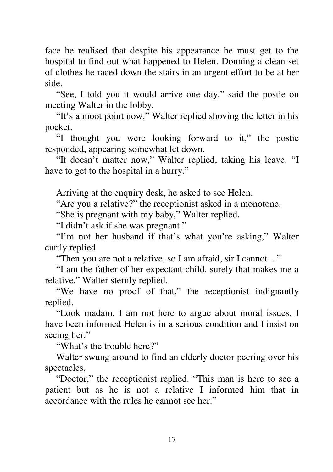face he realised that despite his appearance he must get to the hospital to find out what happened to Helen. Donning a clean set of clothes he raced down the stairs in an urgent effort to be at her side.

"See, I told you it would arrive one day," said the postie on meeting Walter in the lobby.

"It's a moot point now," Walter replied shoving the letter in his pocket.

"I thought you were looking forward to it," the postie responded, appearing somewhat let down.

"It doesn't matter now," Walter replied, taking his leave. "I have to get to the hospital in a hurry."

Arriving at the enquiry desk, he asked to see Helen.

"Are you a relative?" the receptionist asked in a monotone.

"She is pregnant with my baby," Walter replied.

"I didn't ask if she was pregnant."

"I'm not her husband if that's what you're asking," Walter curtly replied.

"Then you are not a relative, so I am afraid, sir I cannot…"

"I am the father of her expectant child, surely that makes me a relative," Walter sternly replied.

"We have no proof of that," the receptionist indignantly replied.

"Look madam, I am not here to argue about moral issues, I have been informed Helen is in a serious condition and I insist on seeing her."

"What's the trouble here?"

Walter swung around to find an elderly doctor peering over his spectacles.

"Doctor," the receptionist replied. "This man is here to see a patient but as he is not a relative I informed him that in accordance with the rules he cannot see her."